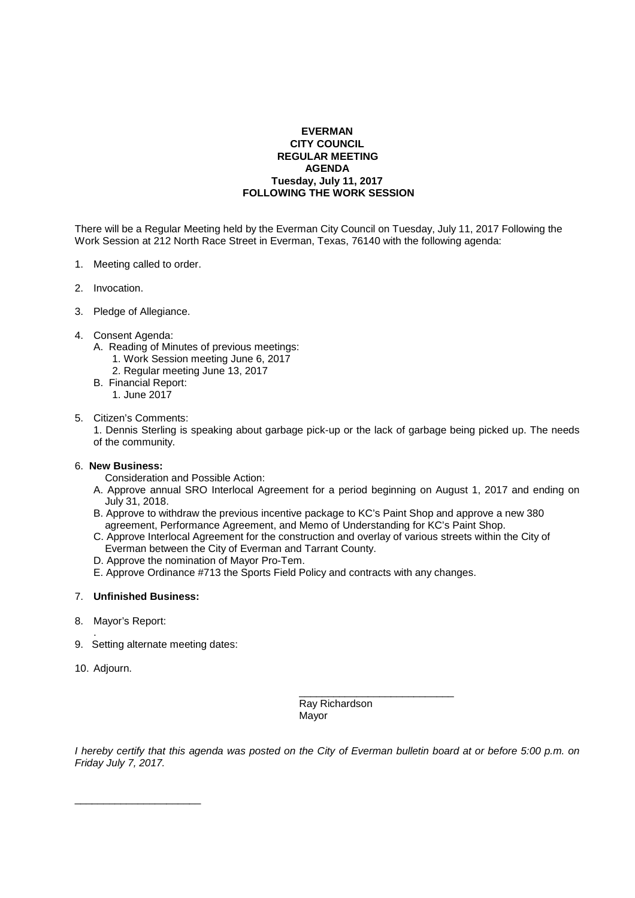## **EVERMAN CITY COUNCIL REGULAR MEETING AGENDA Tuesday, July 11, 2017 FOLLOWING THE WORK SESSION**

There will be a Regular Meeting held by the Everman City Council on Tuesday, July 11, 2017 Following the Work Session at 212 North Race Street in Everman, Texas, 76140 with the following agenda:

- 1. Meeting called to order.
- 2. Invocation.
- 3. Pledge of Allegiance.
- 4. Consent Agenda:
	- A. Reading of Minutes of previous meetings:
		- 1. Work Session meeting June 6, 2017
		- 2. Regular meeting June 13, 2017
	- B. Financial Report:
		- 1. June 2017
- 5. Citizen's Comments:

 1. Dennis Sterling is speaking about garbage pick-up or the lack of garbage being picked up. The needs of the community.

## 6. **New Business:**

- Consideration and Possible Action:
- A. Approve annual SRO Interlocal Agreement for a period beginning on August 1, 2017 and ending on July 31, 2018.
- B. Approve to withdraw the previous incentive package to KC's Paint Shop and approve a new 380 agreement, Performance Agreement, and Memo of Understanding for KC's Paint Shop.
- C. Approve Interlocal Agreement for the construction and overlay of various streets within the City of Everman between the City of Everman and Tarrant County.
- D. Approve the nomination of Mayor Pro-Tem.
- E. Approve Ordinance #713 the Sports Field Policy and contracts with any changes.

 $\frac{1}{\sqrt{2}}$  , and the set of the set of the set of the set of the set of the set of the set of the set of the set of the set of the set of the set of the set of the set of the set of the set of the set of the set of the

## 7. **Unfinished Business:**

\_\_\_\_\_\_\_\_\_\_\_\_\_\_\_\_\_\_\_\_\_\_

- 8. Mayor's Report:
- . 9. Setting alternate meeting dates:
- 10. Adjourn.

 Ray Richardson Mayor

I hereby certify that this agenda was posted on the City of Everman bulletin board at or before 5:00 p.m. on Friday July 7, 2017.